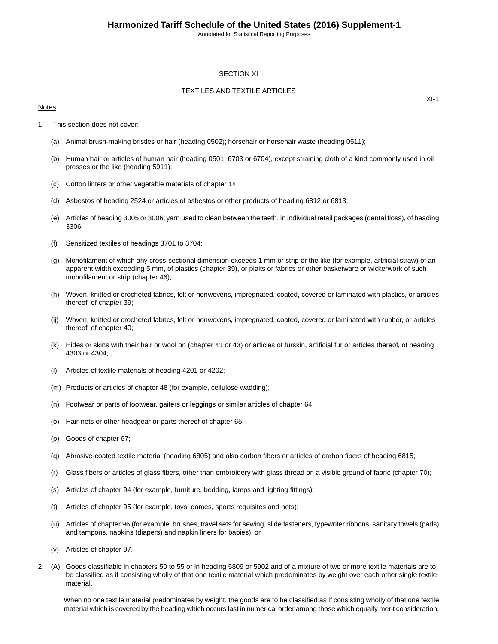## SECTION XI

## TEXTILES AND TEXTILE ARTICLES

### Notes

 $XI-1$ 

- 1. This section does not cover:
	- (a) Animal brush-making bristles or hair (heading 0502); horsehair or horsehair waste (heading 0511);
	- (b) Human hair or articles of human hair (heading 0501, 6703 or 6704), except straining cloth of a kind commonly used in oil presses or the like (heading 5911);
	- (c) Cotton linters or other vegetable materials of chapter 14;
	- (d) Asbestos of heading 2524 or articles of asbestos or other products of heading 6812 or 6813;
	- (e) Articles of heading 3005 or 3006; yarn used to clean between the teeth, in individual retail packages (dental floss), of heading 3306;
	- (f) Sensitized textiles of headings 3701 to 3704;
	- (g) Monofilament of which any cross-sectional dimension exceeds 1 mm or strip or the like (for example, artificial straw) of an apparent width exceeding 5 mm, of plastics (chapter 39), or plaits or fabrics or other basketware or wickerwork of such monofilament or strip (chapter 46);
	- (h) Woven, knitted or crocheted fabrics, felt or nonwovens, impregnated, coated, covered or laminated with plastics, or articles thereof, of chapter 39;
	- (ij) Woven, knitted or crocheted fabrics, felt or nonwovens, impregnated, coated, covered or laminated with rubber, or articles thereof, of chapter 40;
	- (k) Hides or skins with their hair or wool on (chapter 41 or 43) or articles of furskin, artificial fur or articles thereof, of heading 4303 or 4304;
	- (l) Articles of textile materials of heading 4201 or 4202;
	- (m) Products or articles of chapter 48 (for example, cellulose wadding);
	- (n) Footwear or parts of footwear, gaiters or leggings or similar articles of chapter 64;
	- (o) Hair-nets or other headgear or parts thereof of chapter 65;
	- (p) Goods of chapter 67;
	- (q) Abrasive-coated textile material (heading 6805) and also carbon fibers or articles of carbon fibers of heading 6815;
	- (r) Glass fibers or articles of glass fibers, other than embroidery with glass thread on a visible ground of fabric (chapter 70);
	- (s) Articles of chapter 94 (for example, furniture, bedding, lamps and lighting fittings);
	- (t) Articles of chapter 95 (for example, toys, games, sports requisites and nets);
	- (u) Articles of chapter 96 (for example, brushes, travel sets for sewing, slide fasteners, typewriter ribbons, sanitary towels (pads) and tampons, napkins (diapers) and napkin liners for babies); or
	- (v) Articles of chapter 97.
- 2. (A) Goods classifiable in chapters 50 to 55 or in heading 5809 or 5902 and of a mixture of two or more textile materials are to be classified as if consisting wholly of that one textile material which predominates by weight over each other single textile material.

When no one textile material predominates by weight, the goods are to be classified as if consisting wholly of that one textile material which is covered by the heading which occurs last in numerical order among those which equally merit consideration.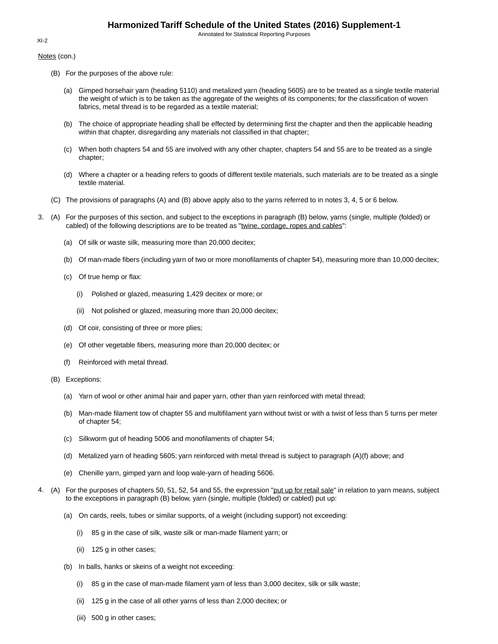Notes (con.)

- (B) For the purposes of the above rule:
	- (a) Gimped horsehair yarn (heading 5110) and metalized yarn (heading 5605) are to be treated as a single textile material the weight of which is to be taken as the aggregate of the weights of its components; for the classification of woven fabrics, metal thread is to be regarded as a textile material;
	- (b) The choice of appropriate heading shall be effected by determining first the chapter and then the applicable heading within that chapter, disregarding any materials not classified in that chapter;
	- (c) When both chapters 54 and 55 are involved with any other chapter, chapters 54 and 55 are to be treated as a single chapter;
	- (d) Where a chapter or a heading refers to goods of different textile materials, such materials are to be treated as a single textile material.
- (C) The provisions of paragraphs (A) and (B) above apply also to the yarns referred to in notes 3, 4, 5 or 6 below.
- 3. (A) For the purposes of this section, and subject to the exceptions in paragraph (B) below, yarns (single, multiple (folded) or cabled) of the following descriptions are to be treated as "twine, cordage, ropes and cables":
	- (a) Of silk or waste silk, measuring more than 20,000 decitex;
	- (b) Of man-made fibers (including yarn of two or more monofilaments of chapter 54), measuring more than 10,000 decitex;
	- (c) Of true hemp or flax:
		- (i) Polished or glazed, measuring 1,429 decitex or more; or
		- (ii) Not polished or glazed, measuring more than 20,000 decitex;
	- (d) Of coir, consisting of three or more plies;
	- (e) Of other vegetable fibers, measuring more than 20,000 decitex; or
	- (f) Reinforced with metal thread.
	- (B) Exceptions:
		- (a) Yarn of wool or other animal hair and paper yarn, other than yarn reinforced with metal thread;
		- (b) Man-made filament tow of chapter 55 and multifilament yarn without twist or with a twist of less than 5 turns per meter of chapter 54;
		- (c) Silkworm gut of heading 5006 and monofilaments of chapter 54;
		- (d) Metalized yarn of heading 5605; yarn reinforced with metal thread is subject to paragraph (A)(f) above; and
		- (e) Chenille yarn, gimped yarn and loop wale-yarn of heading 5606.
- 4. (A) For the purposes of chapters 50, 51, 52, 54 and 55, the expression "put up for retail sale" in relation to yarn means, subject to the exceptions in paragraph (B) below, yarn (single, multiple (folded) or cabled) put up:
	- (a) On cards, reels, tubes or similar supports, of a weight (including support) not exceeding:
		- (i) 85 g in the case of silk, waste silk or man-made filament yarn; or
		- (ii) 125 g in other cases;
	- (b) In balls, hanks or skeins of a weight not exceeding:
		- (i) 85 g in the case of man-made filament yarn of less than 3,000 decitex, silk or silk waste;
		- (ii) 125 g in the case of all other yarns of less than 2,000 decitex; or
		- (iii) 500 g in other cases;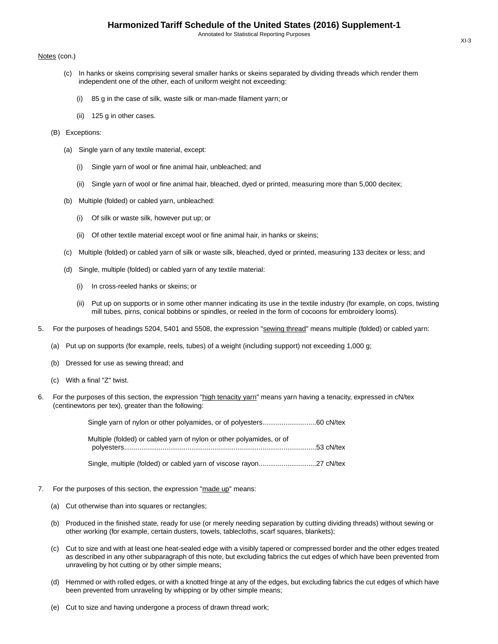#### Notes (con.)

- (c) In hanks or skeins comprising several smaller hanks or skeins separated by dividing threads which render them independent one of the other, each of uniform weight not exceeding:
	- (i) 85 g in the case of silk, waste silk or man-made filament yarn; or
	- (ii) 125 g in other cases.
- (B) Exceptions:
	- (a) Single yarn of any textile material, except:
		- (i) Single yarn of wool or fine animal hair, unbleached; and
		- (ii) Single yarn of wool or fine animal hair, bleached, dyed or printed, measuring more than 5,000 decitex;
	- (b) Multiple (folded) or cabled yarn, unbleached:
		- (i) Of silk or waste silk, however put up; or
		- (ii) Of other textile material except wool or fine animal hair, in hanks or skeins;
	- (c) Multiple (folded) or cabled yarn of silk or waste silk, bleached, dyed or printed, measuring 133 decitex or less; and
	- (d) Single, multiple (folded) or cabled yarn of any textile material:
		- (i) In cross-reeled hanks or skeins; or
		- (ii) Put up on supports or in some other manner indicating its use in the textile industry (for example, on cops, twisting mill tubes, pirns, conical bobbins or spindles, or reeled in the form of cocoons for embroidery looms).
- 5. For the purposes of headings 5204, 5401 and 5508, the expression "sewing thread" means multiple (folded) or cabled yarn:
	- (a) Put up on supports (for example, reels, tubes) of a weight (including support) not exceeding 1,000 g;
	- (b) Dressed for use as sewing thread; and
	- (c) With a final "Z" twist.
- 6. For the purposes of this section, the expression "high tenacity yarn" means yarn having a tenacity, expressed in cN/tex (centinewtons per tex), greater than the following:

| Multiple (folded) or cabled yarn of nylon or other polyamides, or of |  |
|----------------------------------------------------------------------|--|
|                                                                      |  |

Single, multiple (folded) or cabled yarn of viscose rayon..............................27 cN/tex

- 7. For the purposes of this section, the expression "made up" means:
	- (a) Cut otherwise than into squares or rectangles;
	- (b) Produced in the finished state, ready for use (or merely needing separation by cutting dividing threads) without sewing or other working (for example, certain dusters, towels, tablecloths, scarf squares, blankets);
	- (c) Cut to size and with at least one heat-sealed edge with a visibly tapered or compressed border and the other edges treated as described in any other subparagraph of this note, but excluding fabrics the cut edges of which have been prevented from unraveling by hot cutting or by other simple means;
	- (d) Hemmed or with rolled edges, or with a knotted fringe at any of the edges, but excluding fabrics the cut edges of which have been prevented from unraveling by whipping or by other simple means;
	- (e) Cut to size and having undergone a process of drawn thread work;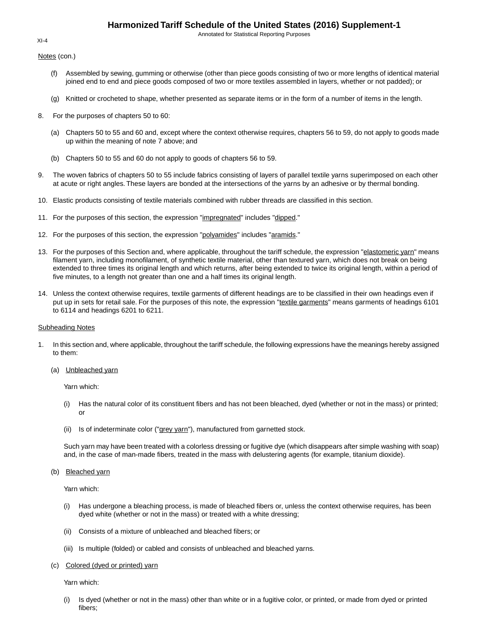Annotated for Statistical Reporting Purposes

Notes (con.)

- (f) Assembled by sewing, gumming or otherwise (other than piece goods consisting of two or more lengths of identical material joined end to end and piece goods composed of two or more textiles assembled in layers, whether or not padded); or
- (g) Knitted or crocheted to shape, whether presented as separate items or in the form of a number of items in the length.
- 8. For the purposes of chapters 50 to 60:
	- (a) Chapters 50 to 55 and 60 and, except where the context otherwise requires, chapters 56 to 59, do not apply to goods made up within the meaning of note 7 above; and
	- (b) Chapters 50 to 55 and 60 do not apply to goods of chapters 56 to 59.
- 9. The woven fabrics of chapters 50 to 55 include fabrics consisting of layers of parallel textile yarns superimposed on each other at acute or right angles. These layers are bonded at the intersections of the yarns by an adhesive or by thermal bonding.
- 10. Elastic products consisting of textile materials combined with rubber threads are classified in this section.
- 11. For the purposes of this section, the expression "impregnated" includes "dipped."
- 12. For the purposes of this section, the expression "polyamides" includes "aramids."
- 13. For the purposes of this Section and, where applicable, throughout the tariff schedule, the expression "elastomeric yarn" means filament yarn, including monofilament, of synthetic textile material, other than textured yarn, which does not break on being extended to three times its original length and which returns, after being extended to twice its original length, within a period of five minutes, to a length not greater than one and a half times its original length.
- 14. Unless the context otherwise requires, textile garments of different headings are to be classified in their own headings even if put up in sets for retail sale. For the purposes of this note, the expression "textile garments" means garments of headings 6101 to 6114 and headings 6201 to 6211.

#### Subheading Notes

- 1. In this section and, where applicable, throughout the tariff schedule, the following expressions have the meanings hereby assigned to them:
	- (a) Unbleached yarn

Yarn which:

- (i) Has the natural color of its constituent fibers and has not been bleached, dyed (whether or not in the mass) or printed; or
- (ii) Is of indeterminate color ("grey yarn"), manufactured from garnetted stock.

Such yarn may have been treated with a colorless dressing or fugitive dye (which disappears after simple washing with soap) and, in the case of man-made fibers, treated in the mass with delustering agents (for example, titanium dioxide).

(b) Bleached yarn

Yarn which:

- (i) Has undergone a bleaching process, is made of bleached fibers or, unless the context otherwise requires, has been dyed white (whether or not in the mass) or treated with a white dressing;
- (ii) Consists of a mixture of unbleached and bleached fibers; or
- (iii) Is multiple (folded) or cabled and consists of unbleached and bleached yarns.
- (c) Colored (dyed or printed) yarn

Yarn which:

(i) Is dyed (whether or not in the mass) other than white or in a fugitive color, or printed, or made from dyed or printed fibers;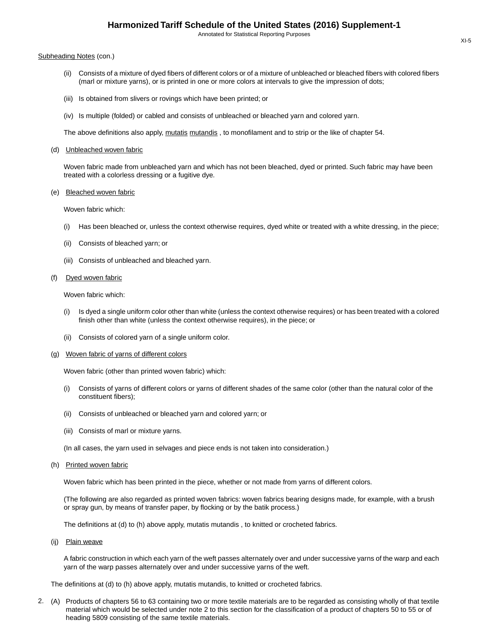#### Subheading Notes (con.)

- (ii) Consists of a mixture of dyed fibers of different colors or of a mixture of unbleached or bleached fibers with colored fibers (marl or mixture yarns), or is printed in one or more colors at intervals to give the impression of dots;
- (iii) Is obtained from slivers or rovings which have been printed; or
- (iv) Is multiple (folded) or cabled and consists of unbleached or bleached yarn and colored yarn.

The above definitions also apply, mutatis mutandis, to monofilament and to strip or the like of chapter 54.

(d) Unbleached woven fabric

Woven fabric made from unbleached yarn and which has not been bleached, dyed or printed. Such fabric may have been treated with a colorless dressing or a fugitive dye.

#### (e) Bleached woven fabric

Woven fabric which:

- (i) Has been bleached or, unless the context otherwise requires, dyed white or treated with a white dressing, in the piece;
- (ii) Consists of bleached yarn; or
- (iii) Consists of unbleached and bleached yarn.

#### (f) Dyed woven fabric

Woven fabric which:

- (i) Is dyed a single uniform color other than white (unless the context otherwise requires) or has been treated with a colored finish other than white (unless the context otherwise requires), in the piece; or
- (ii) Consists of colored yarn of a single uniform color.
- (g) Woven fabric of yarns of different colors

Woven fabric (other than printed woven fabric) which:

- (i) Consists of yarns of different colors or yarns of different shades of the same color (other than the natural color of the constituent fibers);
- (ii) Consists of unbleached or bleached yarn and colored yarn; or
- (iii) Consists of marl or mixture yarns.
- (In all cases, the yarn used in selvages and piece ends is not taken into consideration.)
- (h) Printed woven fabric

Woven fabric which has been printed in the piece, whether or not made from yarns of different colors.

(The following are also regarded as printed woven fabrics: woven fabrics bearing designs made, for example, with a brush or spray gun, by means of transfer paper, by flocking or by the batik process.)

The definitions at (d) to (h) above apply, mutatis mutandis , to knitted or crocheted fabrics.

(ij) Plain weave

A fabric construction in which each yarn of the weft passes alternately over and under successive yarns of the warp and each yarn of the warp passes alternately over and under successive yarns of the weft.

The definitions at (d) to (h) above apply, mutatis mutandis, to knitted or crocheted fabrics.

2. (A) Products of chapters 56 to 63 containing two or more textile materials are to be regarded as consisting wholly of that textile material which would be selected under note 2 to this section for the classification of a product of chapters 50 to 55 or of heading 5809 consisting of the same textile materials.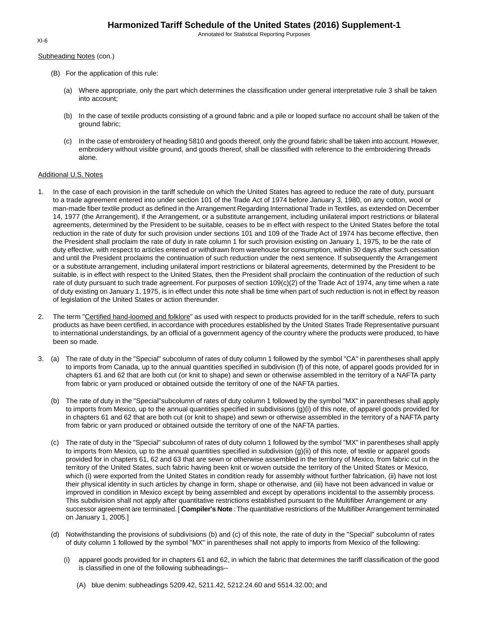Subheading Notes (con.)

- (B) For the application of this rule:
	- (a) Where appropriate, only the part which determines the classification under general interpretative rule 3 shall be taken into account;
	- (b) In the case of textile products consisting of a ground fabric and a pile or looped surface no account shall be taken of the ground fabric;
	- (c) In the case of embroidery of heading 5810 and goods thereof, only the ground fabric shall be taken into account. However, embroidery without visible ground, and goods thereof, shall be classified with reference to the embroidering threads alone.

## Additional U.S. Notes

- 1. In the case of each provision in the tariff schedule on which the United States has agreed to reduce the rate of duty, pursuant to a trade agreement entered into under section 101 of the Trade Act of 1974 before January 3, 1980, on any cotton, wool or man-made fiber textile product as defined in the Arrangement Regarding International Trade in Textiles, as extended on December 14, 1977 (the Arrangement), if the Arrangement, or a substitute arrangement, including unilateral import restrictions or bilateral agreements, determined by the President to be suitable, ceases to be in effect with respect to the United States before the total reduction in the rate of duty for such provision under sections 101 and 109 of the Trade Act of 1974 has become effective, then the President shall proclaim the rate of duty in rate column 1 for such provision existing on January 1, 1975, to be the rate of duty effective, with respect to articles entered or withdrawn from warehouse for consumption, within 30 days after such cessation and until the President proclaims the continuation of such reduction under the next sentence. If subsequently the Arrangement or a substitute arrangement, including unilateral import restrictions or bilateral agreements, determined by the President to be suitable, is in effect with respect to the United States, then the President shall proclaim the continuation of the reduction of such rate of duty pursuant to such trade agreement. For purposes of section 109(c)(2) of the Trade Act of 1974, any time when a rate of duty existing on January 1, 1975, is in effect under this note shall be time when part of such reduction is not in effect by reason of legislation of the United States or action thereunder.
- 2. The term "Certified hand-loomed and folklore" as used with respect to products provided for in the tariff schedule, refers to such products as have been certified, in accordance with procedures established by the United States Trade Representative pursuant to international understandings, by an official of a government agency of the country where the products were produced, to have been so made.
- 3. (a) The rate of duty in the "Special" subcolumn of rates of duty column 1 followed by the symbol "CA" in parentheses shall apply to imports from Canada, up to the annual quantities specified in subdivision (f) of this note, of apparel goods provided for in chapters 61 and 62 that are both cut (or knit to shape) and sewn or otherwise assembled in the territory of a NAFTA party from fabric or yarn produced or obtained outside the territory of one of the NAFTA parties.
	- (b) The rate of duty in the "Special"subcolumn of rates of duty column 1 followed by the symbol "MX" in parentheses shall apply to imports from Mexico, up to the annual quantities specified in subdivisions (g)(i) of this note, of apparel goods provided for in chapters 61 and 62 that are both cut (or knit to shape) and sewn or otherwise assembled in the territory of a NAFTA party from fabric or yarn produced or obtained outside the territory of one of the NAFTA parties.
	- (c) The rate of duty in the "Special" subcolumn of rates of duty column 1 followed by the symbol "MX" in parentheses shall apply to imports from Mexico, up to the annual quantities specified in subdivision (g)(ii) of this note, of textile or apparel goods provided for in chapters 61, 62 and 63 that are sewn or otherwise assembled in the territory of Mexico, from fabric cut in the territory of the United States, such fabric having been knit or woven outside the territory of the United States or Mexico, which (i) were exported from the United States in condition ready for assembly without further fabrication, (ii) have not lost their physical identity in such articles by change in form, shape or otherwise, and (iii) have not been advanced in value or improved in condition in Mexico except by being assembled and except by operations incidental to the assembly process. This subdivision shall not apply after quantitative restrictions established pursuant to the Multifiber Arrangement or any successor agreement are terminated. [ **Compiler's Note** :The quantitative restrictions of the Multifiber Arrangement terminated on January 1, 2005.]
	- (d) Notwithstanding the provisions of subdivisions (b) and (c) of this note, the rate of duty in the "Special" subcolumn of rates of duty column 1 followed by the symbol "MX" in parentheses shall not apply to imports from Mexico of the following:
		- (i) apparel goods provided for in chapters 61 and 62, in which the fabric that determines the tariff classification of the good is classified in one of the following subheadings--
			- (A) blue denim: subheadings 5209.42, 5211.42, 5212.24.60 and 5514.32.00; and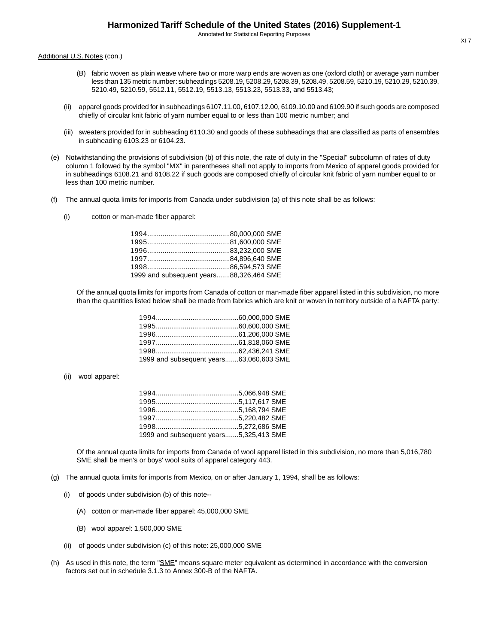Additional U.S. Notes (con.)

- (B) fabric woven as plain weave where two or more warp ends are woven as one (oxford cloth) or average yarn number less than 135 metric number: subheadings 5208.19, 5208.29, 5208.39, 5208.49, 5208.59, 5210.19, 5210.29, 5210.39, 5210.49, 5210.59, 5512.11, 5512.19, 5513.13, 5513.23, 5513.33, and 5513.43;
- (ii) apparel goods provided for in subheadings 6107.11.00, 6107.12.00, 6109.10.00 and 6109.90 if such goods are composed chiefly of circular knit fabric of yarn number equal to or less than 100 metric number; and
- (iii) sweaters provided for in subheading 6110.30 and goods of these subheadings that are classified as parts of ensembles in subheading 6103.23 or 6104.23.
- (e) Notwithstanding the provisions of subdivision (b) of this note, the rate of duty in the "Special" subcolumn of rates of duty column 1 followed by the symbol "MX" in parentheses shall not apply to imports from Mexico of apparel goods provided for in subheadings 6108.21 and 6108.22 if such goods are composed chiefly of circular knit fabric of yarn number equal to or less than 100 metric number.
- (f) The annual quota limits for imports from Canada under subdivision (a) of this note shall be as follows:
	- (i) cotton or man-made fiber apparel:

| 1999 and subsequent years88,326,464 SME |  |
|-----------------------------------------|--|

Of the annual quota limits for imports from Canada of cotton or man-made fiber apparel listed in this subdivision, no more than the quantities listed below shall be made from fabrics which are knit or woven in territory outside of a NAFTA party:

| 1999 and subsequent years63,060,603 SME |  |
|-----------------------------------------|--|

(ii) wool apparel:

| 1999 and subsequent years5,325,413 SME |  |
|----------------------------------------|--|

Of the annual quota limits for imports from Canada of wool apparel listed in this subdivision, no more than 5,016,780 SME shall be men's or boys' wool suits of apparel category 443.

- (g) The annual quota limits for imports from Mexico, on or after January 1, 1994, shall be as follows:
	- (i) of goods under subdivision (b) of this note--
		- (A) cotton or man-made fiber apparel: 45,000,000 SME
		- (B) wool apparel: 1,500,000 SME
	- (ii) of goods under subdivision (c) of this note: 25,000,000 SME
- (h) As used in this note, the term "SME" means square meter equivalent as determined in accordance with the conversion factors set out in schedule 3.1.3 to Annex 300-B of the NAFTA.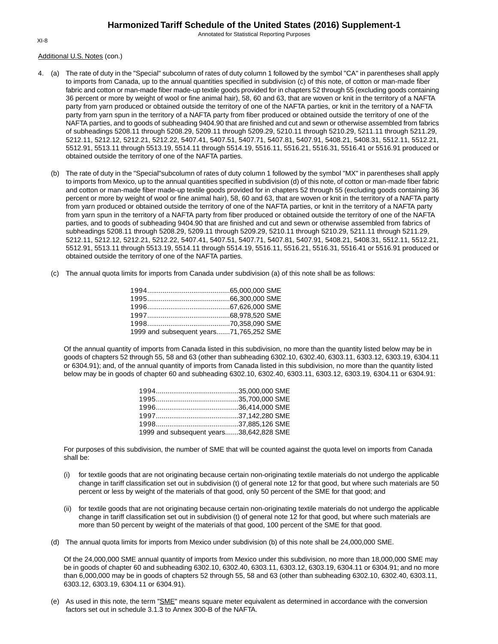Annotated for Statistical Reporting Purposes

Additional U.S. Notes (con.)

- 4. (a) The rate of duty in the "Special" subcolumn of rates of duty column 1 followed by the symbol "CA" in parentheses shall apply to imports from Canada, up to the annual quantities specified in subdivision (c) of this note, of cotton or man-made fiber fabric and cotton or man-made fiber made-up textile goods provided for in chapters 52 through 55 (excluding goods containing 36 percent or more by weight of wool or fine animal hair), 58, 60 and 63, that are woven or knit in the territory of a NAFTA party from yarn produced or obtained outside the territory of one of the NAFTA parties, or knit in the territory of a NAFTA party from yarn spun in the territory of a NAFTA party from fiber produced or obtained outside the territory of one of the NAFTA parties, and to goods of subheading 9404.90 that are finished and cut and sewn or otherwise assembled from fabrics of subheadings 5208.11 through 5208.29, 5209.11 through 5209.29, 5210.11 through 5210.29, 5211.11 through 5211.29, 5212.11, 5212.12, 5212.21, 5212.22, 5407.41, 5407.51, 5407.71, 5407.81, 5407.91, 5408.21, 5408.31, 5512.11, 5512.21, 5512.91, 5513.11 through 5513.19, 5514.11 through 5514.19, 5516.11, 5516.21, 5516.31, 5516.41 or 5516.91 produced or obtained outside the territory of one of the NAFTA parties.
	- (b) The rate of duty in the "Special"subcolumn of rates of duty column 1 followed by the symbol "MX" in parentheses shall apply to imports from Mexico, up to the annual quantities specified in subdivision (d) of this note, of cotton or man-made fiber fabric and cotton or man-made fiber made-up textile goods provided for in chapters 52 through 55 (excluding goods containing 36 percent or more by weight of wool or fine animal hair), 58, 60 and 63, that are woven or knit in the territory of a NAFTA party from yarn produced or obtained outside the territory of one of the NAFTA parties, or knit in the territory of a NAFTA party from yarn spun in the territory of a NAFTA party from fiber produced or obtained outside the territory of one of the NAFTA parties, and to goods of subheading 9404.90 that are finished and cut and sewn or otherwise assembled from fabrics of subheadings 5208.11 through 5208.29, 5209.11 through 5209.29, 5210.11 through 5210.29, 5211.11 through 5211.29, 5212.11, 5212.12, 5212.21, 5212.22, 5407.41, 5407.51, 5407.71, 5407.81, 5407.91, 5408.21, 5408.31, 5512.11, 5512.21, 5512.91, 5513.11 through 5513.19, 5514.11 through 5514.19, 5516.11, 5516.21, 5516.31, 5516.41 or 5516.91 produced or obtained outside the territory of one of the NAFTA parties.
	- (c) The annual quota limits for imports from Canada under subdivision (a) of this note shall be as follows:

| 1999 and subsequent years71,765,252 SME |  |
|-----------------------------------------|--|

Of the annual quantity of imports from Canada listed in this subdivision, no more than the quantity listed below may be in goods of chapters 52 through 55, 58 and 63 (other than subheading 6302.10, 6302.40, 6303.11, 6303.12, 6303.19, 6304.11 or 6304.91); and, of the annual quantity of imports from Canada listed in this subdivision, no more than the quantity listed below may be in goods of chapter 60 and subheading 6302.10, 6302.40, 6303.11, 6303.12, 6303.19, 6304.11 or 6304.91:

| 1999 and subsequent years38,642,828 SME |  |
|-----------------------------------------|--|

For purposes of this subdivision, the number of SME that will be counted against the quota level on imports from Canada shall be:

- (i) for textile goods that are not originating because certain non-originating textile materials do not undergo the applicable change in tariff classification set out in subdivision (t) of general note 12 for that good, but where such materials are 50 percent or less by weight of the materials of that good, only 50 percent of the SME for that good; and
- (ii) for textile goods that are not originating because certain non-originating textile materials do not undergo the applicable change in tariff classification set out in subdivision (t) of general note 12 for that good, but where such materials are more than 50 percent by weight of the materials of that good, 100 percent of the SME for that good.
- (d) The annual quota limits for imports from Mexico under subdivision (b) of this note shall be 24,000,000 SME.

Of the 24,000,000 SME annual quantity of imports from Mexico under this subdivision, no more than 18,000,000 SME may be in goods of chapter 60 and subheading 6302.10, 6302.40, 6303.11, 6303.12, 6303.19, 6304.11 or 6304.91; and no more than 6,000,000 may be in goods of chapters 52 through 55, 58 and 63 (other than subheading 6302.10, 6302.40, 6303.11, 6303.12, 6303.19, 6304.11 or 6304.91).

(e) As used in this note, the term "SME" means square meter equivalent as determined in accordance with the conversion factors set out in schedule 3.1.3 to Annex 300-B of the NAFTA.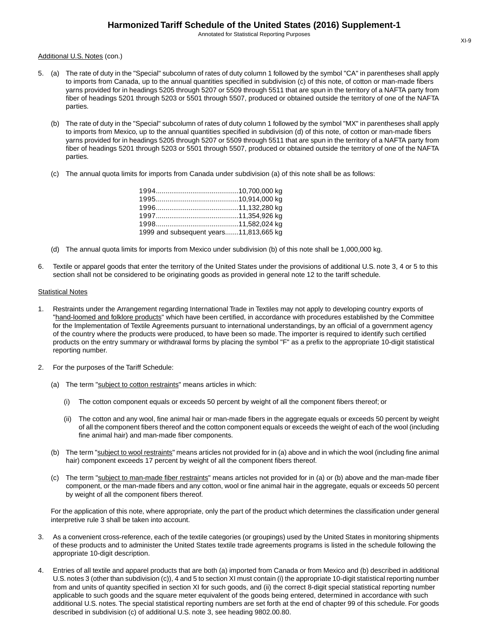Additional U.S. Notes (con.)

- 5. (a) The rate of duty in the "Special" subcolumn of rates of duty column 1 followed by the symbol "CA" in parentheses shall apply to imports from Canada, up to the annual quantities specified in subdivision (c) of this note, of cotton or man-made fibers yarns provided for in headings 5205 through 5207 or 5509 through 5511 that are spun in the territory of a NAFTA party from fiber of headings 5201 through 5203 or 5501 through 5507, produced or obtained outside the territory of one of the NAFTA parties.
	- (b) The rate of duty in the "Special" subcolumn of rates of duty column 1 followed by the symbol "MX" in parentheses shall apply to imports from Mexico, up to the annual quantities specified in subdivision (d) of this note, of cotton or man-made fibers yarns provided for in headings 5205 through 5207 or 5509 through 5511 that are spun in the territory of a NAFTA party from fiber of headings 5201 through 5203 or 5501 through 5507, produced or obtained outside the territory of one of the NAFTA parties.
	- (c) The annual quota limits for imports from Canada under subdivision (a) of this note shall be as follows:

| 1999 and subsequent years11,813,665 kg |  |
|----------------------------------------|--|

- (d) The annual quota limits for imports from Mexico under subdivision (b) of this note shall be 1,000,000 kg.
- 6. Textile or apparel goods that enter the territory of the United States under the provisions of additional U.S. note 3, 4 or 5 to this section shall not be considered to be originating goods as provided in general note 12 to the tariff schedule.

### Statistical Notes

- 1. Restraints under the Arrangement regarding International Trade in Textiles may not apply to developing country exports of "hand-loomed and folklore products" which have been certified, in accordance with procedures established by the Committee for the Implementation of Textile Agreements pursuant to international understandings, by an official of a government agency of the country where the products were produced, to have been so made. The importer is required to identify such certified products on the entry summary or withdrawal forms by placing the symbol "F" as a prefix to the appropriate 10-digit statistical reporting number.
- 2. For the purposes of the Tariff Schedule:
	- (a) The term "subject to cotton restraints" means articles in which:
		- (i) The cotton component equals or exceeds 50 percent by weight of all the component fibers thereof; or
		- (ii) The cotton and any wool, fine animal hair or man-made fibers in the aggregate equals or exceeds 50 percent by weight of all the component fibers thereof and the cotton component equals or exceeds the weight of each of the wool (including fine animal hair) and man-made fiber components.
	- (b) The term "subject to wool restraints" means articles not provided for in (a) above and in which the wool (including fine animal hair) component exceeds 17 percent by weight of all the component fibers thereof.
	- (c) The term "subject to man-made fiber restraints" means articles not provided for in (a) or (b) above and the man-made fiber component, or the man-made fibers and any cotton, wool or fine animal hair in the aggregate, equals or exceeds 50 percent by weight of all the component fibers thereof.

For the application of this note, where appropriate, only the part of the product which determines the classification under general interpretive rule 3 shall be taken into account.

- 3. As a convenient cross-reference, each of the textile categories (or groupings) used by the United States in monitoring shipments of these products and to administer the United States textile trade agreements programs is listed in the schedule following the appropriate 10-digit description.
- 4. Entries of all textile and apparel products that are both (a) imported from Canada or from Mexico and (b) described in additional U.S. notes 3 (other than subdivision (c)), 4 and 5 to section XI must contain (i) the appropriate 10-digit statistical reporting number from and units of quantity specified in section XI for such goods, and (ii) the correct 8-digit special statistical reporting number applicable to such goods and the square meter equivalent of the goods being entered, determined in accordance with such additional U.S. notes. The special statistical reporting numbers are set forth at the end of chapter 99 of this schedule. For goods described in subdivision (c) of additional U.S. note 3, see heading 9802.00.80.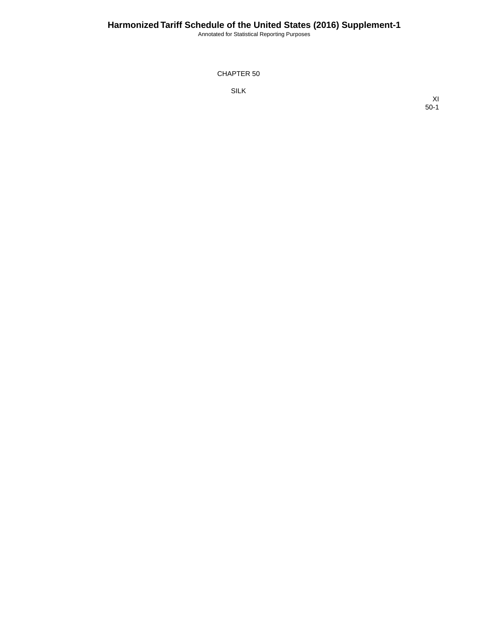Annotated for Statistical Reporting Purposes

CHAPTER 50

SILK

XI 50-1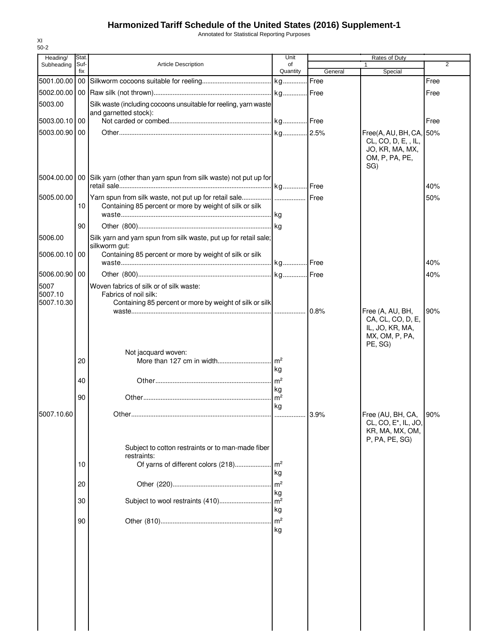Annotated for Statistical Reporting Purposes

| Heading/      | Stat.       |                                                                                 | Unit                       |         | Rates of Duty                                                                                  |                |
|---------------|-------------|---------------------------------------------------------------------------------|----------------------------|---------|------------------------------------------------------------------------------------------------|----------------|
| Subheading    | Suf-<br>fix | <b>Article Description</b>                                                      | of<br>Quantity             | General | $\mathbf{1}$<br>Special                                                                        | $\overline{2}$ |
|               |             |                                                                                 |                            |         |                                                                                                | Free           |
|               |             |                                                                                 |                            |         |                                                                                                | Free           |
| 5003.00       |             | Silk waste (including cocoons unsuitable for reeling, yarn waste                |                            |         |                                                                                                |                |
|               |             | and garnetted stock):                                                           |                            |         |                                                                                                |                |
| 5003.00.10 00 |             |                                                                                 |                            |         |                                                                                                | Free           |
| 5003.00.90 00 |             |                                                                                 |                            |         | Free(A, AU, BH, CA, 50%                                                                        |                |
|               |             |                                                                                 |                            |         | CL, CO, D, E, , IL,<br>JO, KR, MA, MX,<br>OM, P, PA, PE,<br>SG)                                |                |
|               |             | 5004.00.00   00 Silk yarn (other than yarn spun from silk waste) not put up for |                            |         |                                                                                                | 40%            |
| 5005.00.00    |             | Yarn spun from silk waste, not put up for retail sale   Free                    |                            |         |                                                                                                | 50%            |
|               | 10          | Containing 85 percent or more by weight of silk or silk                         |                            |         |                                                                                                |                |
|               |             |                                                                                 |                            |         |                                                                                                |                |
|               | 90          |                                                                                 |                            |         |                                                                                                |                |
| 5006.00       |             | Silk yarn and yarn spun from silk waste, put up for retail sale;                |                            |         |                                                                                                |                |
| 5006.00.10 00 |             | silkworm gut:<br>Containing 85 percent or more by weight of silk or silk        |                            |         |                                                                                                |                |
|               |             |                                                                                 | kg Free                    |         |                                                                                                | 40%            |
| 5006.00.90 00 |             |                                                                                 |                            |         |                                                                                                | 40%            |
| 5007          |             | Woven fabrics of silk or of silk waste:                                         |                            |         |                                                                                                |                |
| 5007.10       |             | Fabrics of noil silk:                                                           |                            |         |                                                                                                |                |
| 5007.10.30    |             | Containing 85 percent or more by weight of silk or silk                         |                            |         |                                                                                                |                |
|               |             |                                                                                 |                            |         | Free (A, AU, BH,<br>CA, CL, CO, D, E,<br>IL, JO, KR, MA,<br>MX, OM, P, PA,<br>PE, SG)          | 90%            |
|               |             | Not jacquard woven:                                                             |                            |         |                                                                                                |                |
|               | 20          |                                                                                 | m <sup>2</sup>             |         |                                                                                                |                |
|               |             |                                                                                 | kg                         |         |                                                                                                |                |
|               | 40          |                                                                                 | $\mathsf{m}^2$<br>kg       |         |                                                                                                |                |
|               | 90          |                                                                                 | m <sup>2</sup>             |         |                                                                                                |                |
|               |             |                                                                                 | kg                         |         |                                                                                                |                |
| 5007.10.60    |             |                                                                                 |                            | 3.9%    | Free (AU, BH, CA, 90%<br>CL, CO, E <sup>*</sup> , IL, JO,<br>KR, MA, MX, OM,<br>P, PA, PE, SG) |                |
|               |             | Subject to cotton restraints or to man-made fiber                               |                            |         |                                                                                                |                |
|               | 10          | restraints:<br>Of yarns of different colors (218)                               | $\mathsf{Im}^2$            |         |                                                                                                |                |
|               |             |                                                                                 | kg                         |         |                                                                                                |                |
|               | 20          |                                                                                 | m <sup>2</sup>             |         |                                                                                                |                |
|               | 30          |                                                                                 | kg<br>m <sup>2</sup><br>kg |         |                                                                                                |                |
|               | 90          |                                                                                 | m <sup>2</sup><br>kg       |         |                                                                                                |                |
|               |             |                                                                                 |                            |         |                                                                                                |                |
|               |             |                                                                                 |                            |         |                                                                                                |                |

XI 50-2